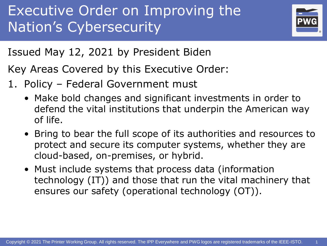

Issued May 12, 2021 by President Biden

Key Areas Covered by this Executive Order:

- 1. Policy Federal Government must
	- Make bold changes and significant investments in order to defend the vital institutions that underpin the American way of life.
	- Bring to bear the full scope of its authorities and resources to protect and secure its computer systems, whether they are cloud-based, on-premises, or hybrid.
	- Must include systems that process data (information technology (IT)) and those that run the vital machinery that ensures our safety (operational technology (OT)).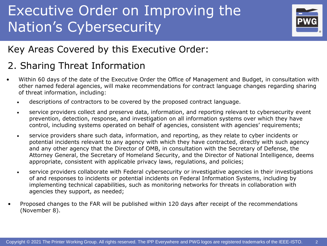

#### Key Areas Covered by this Executive Order:

#### 2. Sharing Threat Information

- Within 60 days of the date of the Executive Order the Office of Management and Budget, in consultation with other named federal agencies, will make recommendations for contract language changes regarding sharing of threat information, including:
	- descriptions of contractors to be covered by the proposed contract language.
	- service providers collect and preserve data, information, and reporting relevant to cybersecurity event prevention, detection, response, and investigation on all information systems over which they have control, including systems operated on behalf of agencies, consistent with agencies' requirements;
	- service providers share such data, information, and reporting, as they relate to cyber incidents or potential incidents relevant to any agency with which they have contracted, directly with such agency and any other agency that the Director of OMB, in consultation with the Secretary of Defense, the Attorney General, the Secretary of Homeland Security, and the Director of National Intelligence, deems appropriate, consistent with applicable privacy laws, regulations, and policies;
	- service providers collaborate with Federal cybersecurity or investigative agencies in their investigations of and responses to incidents or potential incidents on Federal Information Systems, including by implementing technical capabilities, such as monitoring networks for threats in collaboration with agencies they support, as needed;
- Proposed changes to the FAR will be published within 120 days after receipt of the recommendations (November 8).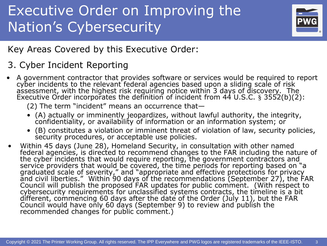

#### Key Areas Covered by this Executive Order:

#### 3. Cyber Incident Reporting

• A government contractor that provides software or services would be required to report cyber incidents to the relevant federal agencies based upon a sliding scale of risk assessment, with the highest risk requiring notice within 3 days of discovery. The Executive Order incorporates the definition of incident from 44 U.S.C. § 3552(b)(2):

(2) The term "incident" means an occurrence that—

- (A) actually or imminently jeopardizes, without lawful authority, the integrity, confidentiality, or availability of information or an information system; or
- (B) constitutes a violation or imminent threat of violation of law, security policies, security procedures, or acceptable use policies.
- Within 45 days (June 28), Homeland Security, in consultation with other named federal agencies, is directed to recommend changes to the FAR including the nature of the cyber incidents that would require reporting, the government contractors and service providers that would be covered, the time periods for reporting based on "a graduated scale of severity," and "appropriate and effective protections for privacy and civil liberties." Within 90 days of the recommendations (September 27), the FAR Council will publish the proposed FAR updates for public comment. (With respect to cybersecurity requirements for unclassified systems contracts, the timeline is a bit different, commencing 60 days after the date of the Order (July 11), but the FAR Council would have only 60 days (September 9) to review and publish the recommended changes for public comment.)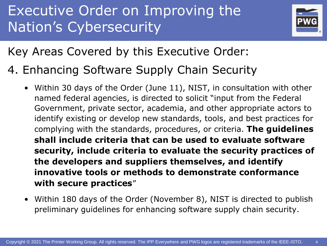

Key Areas Covered by this Executive Order:

- 4. Enhancing Software Supply Chain Security
	- Within 30 days of the Order (June 11), NIST, in consultation with other named federal agencies, is directed to solicit "input from the Federal Government, private sector, academia, and other appropriate actors to identify existing or develop new standards, tools, and best practices for complying with the standards, procedures, or criteria. **The guidelines shall include criteria that can be used to evaluate software security, include criteria to evaluate the security practices of the developers and suppliers themselves, and identify innovative tools or methods to demonstrate conformance with secure practices**"
	- Within 180 days of the Order (November 8), NIST is directed to publish preliminary guidelines for enhancing software supply chain security.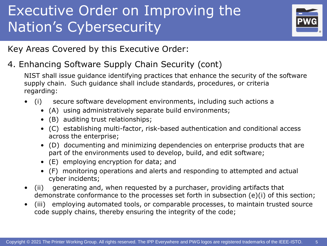

Key Areas Covered by this Executive Order:

4. Enhancing Software Supply Chain Security (cont)

NIST shall issue guidance identifying practices that enhance the security of the software supply chain. Such guidance shall include standards, procedures, or criteria regarding:

- (i) secure software development environments, including such actions a
	- (A) using administratively separate build environments;
	- (B) auditing trust relationships;
	- (C) establishing multi-factor, risk-based authentication and conditional access across the enterprise;
	- (D) documenting and minimizing dependencies on enterprise products that are part of the environments used to develop, build, and edit software;
	- (E) employing encryption for data; and
	- (F) monitoring operations and alerts and responding to attempted and actual cyber incidents;
- (ii) generating and, when requested by a purchaser, providing artifacts that demonstrate conformance to the processes set forth in subsection (e)(i) of this section;
- (iii) employing automated tools, or comparable processes, to maintain trusted source code supply chains, thereby ensuring the integrity of the code;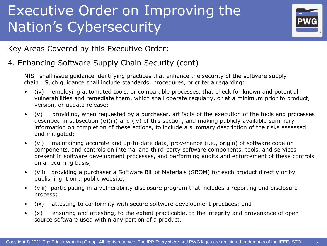

Key Areas Covered by this Executive Order:

#### 4. Enhancing Software Supply Chain Security (cont)

NIST shall issue guidance identifying practices that enhance the security of the software supply chain. Such guidance shall include standards, procedures, or criteria regarding:

- (iv) employing automated tools, or comparable processes, that check for known and potential vulnerabilities and remediate them, which shall operate regularly, or at a minimum prior to product, version, or update release;
- (v) providing, when requested by a purchaser, artifacts of the execution of the tools and processes described in subsection (e)(iii) and (iv) of this section, and making publicly available summary information on completion of these actions, to include a summary description of the risks assessed and mitigated;
- (vi) maintaining accurate and up-to-date data, provenance (i.e., origin) of software code or components, and controls on internal and third-party software components, tools, and services present in software development processes, and performing audits and enforcement of these controls on a recurring basis;
- (vii) providing a purchaser a Software Bill of Materials (SBOM) for each product directly or by publishing it on a public website;
- (viii) participating in a vulnerability disclosure program that includes a reporting and disclosure process;
- (ix) attesting to conformity with secure software development practices; and
- (x) ensuring and attesting, to the extent practicable, to the integrity and provenance of open source software used within any portion of a product.